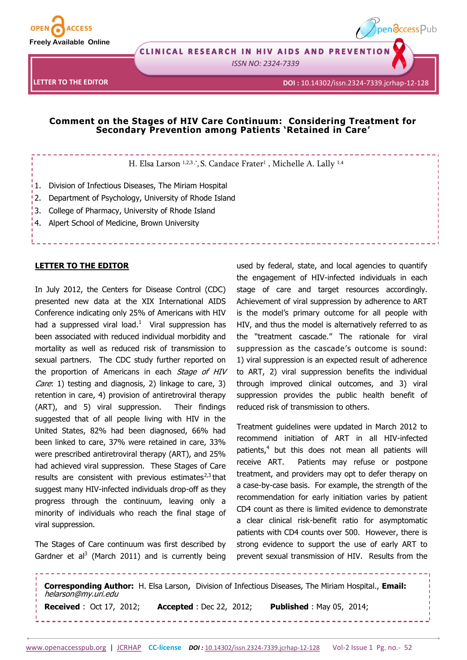

CLINICAL RESEARCH IN HIV AIDS AND PREVENTION

*ISSN NO: 2324-7339* 

**LETTER TO THE EDITOR**



pendccess Pub

## **Comment on the Stages of HIV Care Continuum: Considering Treatment for Secondary Prevention among Patients 'Retained in Care'**

H. Elsa Larson 1,2,3,\*, S. Candace Frater<sup>1</sup>, Michelle A. Lally <sup>1,4</sup>

- $\frac{1}{1}$ 1. Division of Infectious Diseases, The Miriam Hospital
- 2. Department of Psychology, University of Rhode Island
- 3. College of Pharmacy, University of Rhode Island
- 4. Alpert School of Medicine, Brown University

## **LETTER TO THE EDITOR**

In July 2012, the Centers for Disease Control (CDC) presented new data at the XIX International AIDS Conference indicating only 25% of Americans with HIV had a suppressed viral load.<sup>1</sup> Viral suppression has been associated with reduced individual morbidity and mortality as well as reduced risk of transmission to sexual partners. The CDC study further reported on the proportion of Americans in each Stage of HIV Care: 1) testing and diagnosis, 2) linkage to care, 3) retention in care, 4) provision of antiretroviral therapy (ART), and 5) viral suppression. Their findings suggested that of all people living with HIV in the United States, 82% had been diagnosed, 66% had been linked to care, 37% were retained in care, 33% were prescribed antiretroviral therapy (ART), and 25% had achieved viral suppression. These Stages of Care results are consistent with previous estimates $^{2,3}$  that suggest many HIV-infected individuals drop-off as they progress through the continuum, leaving only a minority of individuals who reach the final stage of viral suppression.

The Stages of Care continuum was first described by Gardner et al<sup>3</sup> (March 2011) and is currently being

used by federal, state, and local agencies to quantify the engagement of HIV-infected individuals in each stage of care and target resources accordingly. Achievement of viral suppression by adherence to ART is the model's primary outcome for all people with HIV, and thus the model is alternatively referred to as the "treatment cascade." The rationale for viral suppression as the cascade's outcome is sound: 1) viral suppression is an expected result of adherence to ART, 2) viral suppression benefits the individual through improved clinical outcomes, and 3) viral suppression provides the public health benefit of reduced risk of transmission to others.

Treatment guidelines were updated in March 2012 to recommend initiation of ART in all HIV-infected patients,<sup>4</sup> but this does not mean all patients will receive ART. Patients may refuse or postpone treatment, and providers may opt to defer therapy on a case-by-case basis. For example, the strength of the recommendation for early initiation varies by patient CD4 count as there is limited evidence to demonstrate a clear clinical risk-benefit ratio for asymptomatic patients with CD4 counts over 500. However, there is strong evidence to support the use of early ART to prevent sexual transmission of HIV. Results from the

**Corresponding Author:** H. Elsa Larson, Division of Infectious Diseases, The Miriam Hospital., **Email:**  helarson@my.uri.edu **Received** : Oct 17, 2012; **Accepted** : Dec 22, 2012; **Published** : May 05, 2014;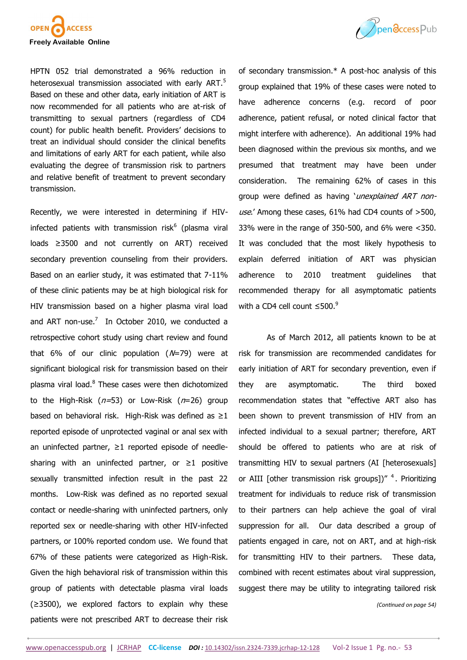

HPTN 052 trial demonstrated a 96% reduction in heterosexual transmission associated with early ART.<sup>5</sup> Based on these and other data, early initiation of ART is now recommended for all patients who are at-risk of transmitting to sexual partners (regardless of CD4 count) for public health benefit. Providers' decisions to treat an individual should consider the clinical benefits and limitations of early ART for each patient, while also evaluating the degree of transmission risk to partners and relative benefit of treatment to prevent secondary transmission.

Recently, we were interested in determining if HIVinfected patients with transmission risk<sup>6</sup> (plasma viral loads ≥3500 and not currently on ART) received secondary prevention counseling from their providers. Based on an earlier study, it was estimated that 7-11% of these clinic patients may be at high biological risk for HIV transmission based on a higher plasma viral load and ART non-use. $^7$  In October 2010, we conducted a retrospective cohort study using chart review and found that 6% of our clinic population  $(N=79)$  were at significant biological risk for transmission based on their plasma viral load.<sup>8</sup> These cases were then dichotomized to the High-Risk  $(n=53)$  or Low-Risk  $(n=26)$  group based on behavioral risk. High-Risk was defined as ≥1 reported episode of unprotected vaginal or anal sex with an uninfected partner, ≥1 reported episode of needlesharing with an uninfected partner, or  $\geq 1$  positive sexually transmitted infection result in the past 22 months. Low-Risk was defined as no reported sexual contact or needle-sharing with uninfected partners, only reported sex or needle-sharing with other HIV-infected partners, or 100% reported condom use. We found that 67% of these patients were categorized as High-Risk. Given the high behavioral risk of transmission within this group of patients with detectable plasma viral loads (≥3500), we explored factors to explain why these patients were not prescribed ART to decrease their risk



As of March 2012, all patients known to be at risk for transmission are recommended candidates for early initiation of ART for secondary prevention, even if they are asymptomatic. The third boxed recommendation states that "effective ART also has been shown to prevent transmission of HIV from an infected individual to a sexual partner; therefore, ART should be offered to patients who are at risk of transmitting HIV to sexual partners (AI [heterosexuals] or AIII [other transmission risk groups])"<sup>4</sup>. Prioritizing treatment for individuals to reduce risk of transmission to their partners can help achieve the goal of viral suppression for all. Our data described a group of patients engaged in care, not on ART, and at high-risk for transmitting HIV to their partners. These data, combined with recent estimates about viral suppression, suggest there may be utility to integrating tailored risk

*(Continued on page 54)*

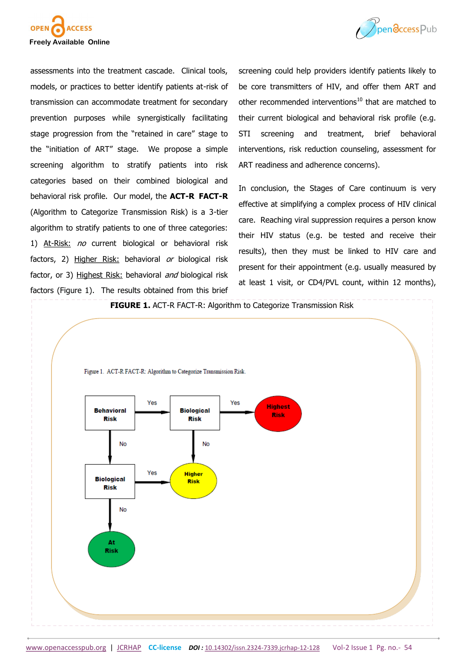



assessments into the treatment cascade. Clinical tools, models, or practices to better identify patients at-risk of transmission can accommodate treatment for secondary prevention purposes while synergistically facilitating stage progression from the "retained in care" stage to the "initiation of ART" stage. We propose a simple screening algorithm to stratify patients into risk categories based on their combined biological and behavioral risk profile. Our model, the **ACT-R FACT-R** (Algorithm to Categorize Transmission Risk) is a 3-tier algorithm to stratify patients to one of three categories: 1) At-Risk: no current biological or behavioral risk factors, 2) Higher Risk: behavioral or biological risk factor, or 3) Highest Risk: behavioral *and* biological risk factors (Figure 1). The results obtained from this brief

screening could help providers identify patients likely to be core transmitters of HIV, and offer them ART and other recommended interventions<sup>10</sup> that are matched to their current biological and behavioral risk profile (e.g. STI screening and treatment, brief behavioral interventions, risk reduction counseling, assessment for ART readiness and adherence concerns).

In conclusion, the Stages of Care continuum is very effective at simplifying a complex process of HIV clinical care. Reaching viral suppression requires a person know their HIV status (e.g. be tested and receive their results), then they must be linked to HIV care and present for their appointment (e.g. usually measured by at least 1 visit, or CD4/PVL count, within 12 months),

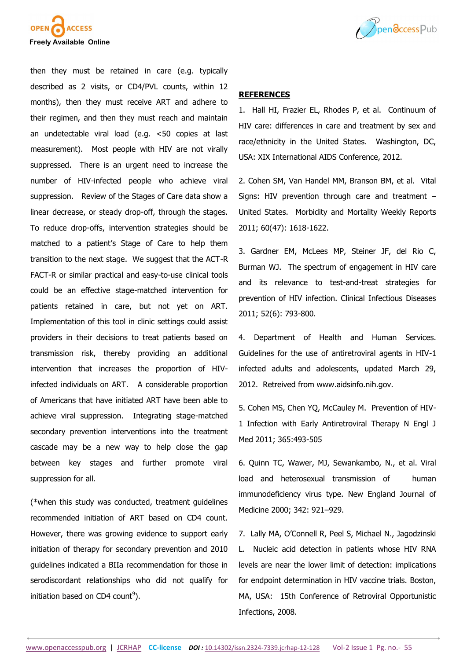

Ppendccess Pub

then they must be retained in care (e.g. typically described as 2 visits, or CD4/PVL counts, within 12 months), then they must receive ART and adhere to their regimen, and then they must reach and maintain an undetectable viral load (e.g. <50 copies at last measurement). Most people with HIV are not virally suppressed. There is an urgent need to increase the number of HIV-infected people who achieve viral suppression. Review of the Stages of Care data show a linear decrease, or steady drop-off, through the stages. To reduce drop-offs, intervention strategies should be matched to a patient's Stage of Care to help them transition to the next stage. We suggest that the ACT-R FACT-R or similar practical and easy-to-use clinical tools could be an effective stage-matched intervention for patients retained in care, but not yet on ART. Implementation of this tool in clinic settings could assist providers in their decisions to treat patients based on transmission risk, thereby providing an additional intervention that increases the proportion of HIVinfected individuals on ART. A considerable proportion of Americans that have initiated ART have been able to achieve viral suppression. Integrating stage-matched secondary prevention interventions into the treatment cascade may be a new way to help close the gap between key stages and further promote viral suppression for all.

(\*when this study was conducted, treatment guidelines recommended initiation of ART based on CD4 count. However, there was growing evidence to support early initiation of therapy for secondary prevention and 2010 guidelines indicated a BIIa recommendation for those in serodiscordant relationships who did not qualify for initiation based on CD4 count<sup>9</sup>).

## **REFERENCES**

1. Hall HI, Frazier EL, Rhodes P, et al. Continuum of HIV care: differences in care and treatment by sex and race/ethnicity in the United States. Washington, DC, USA: XIX International AIDS Conference, 2012.

2. Cohen SM, Van Handel MM, Branson BM, et al. Vital Signs: HIV prevention through care and treatment – United States. Morbidity and Mortality Weekly Reports 2011; 60(47): 1618-1622.

3. Gardner EM, McLees MP, Steiner JF, del Rio C, Burman WJ. The spectrum of engagement in HIV care and its relevance to test-and-treat strategies for prevention of HIV infection. Clinical Infectious Diseases 2011; 52(6): 793-800.

4. Department of Health and Human Services. Guidelines for the use of antiretroviral agents in HIV-1 infected adults and adolescents, updated March 29, 2012. Retreived from www.aidsinfo.nih.gov.

5. Cohen MS, Chen YQ, McCauley M. Prevention of HIV-1 Infection with Early Antiretroviral Therapy N Engl J Med 2011; 365:493-505

6. Quinn TC, Wawer, MJ, Sewankambo, N., et al. Viral load and heterosexual transmission of human immunodeficiency virus type. New England Journal of Medicine 2000; 342: 921–929.

7. Lally MA, O'Connell R, Peel S, Michael N., Jagodzinski L. Nucleic acid detection in patients whose HIV RNA levels are near the lower limit of detection: implications for endpoint determination in HIV vaccine trials. Boston, MA, USA: 15th Conference of Retroviral Opportunistic Infections, 2008.